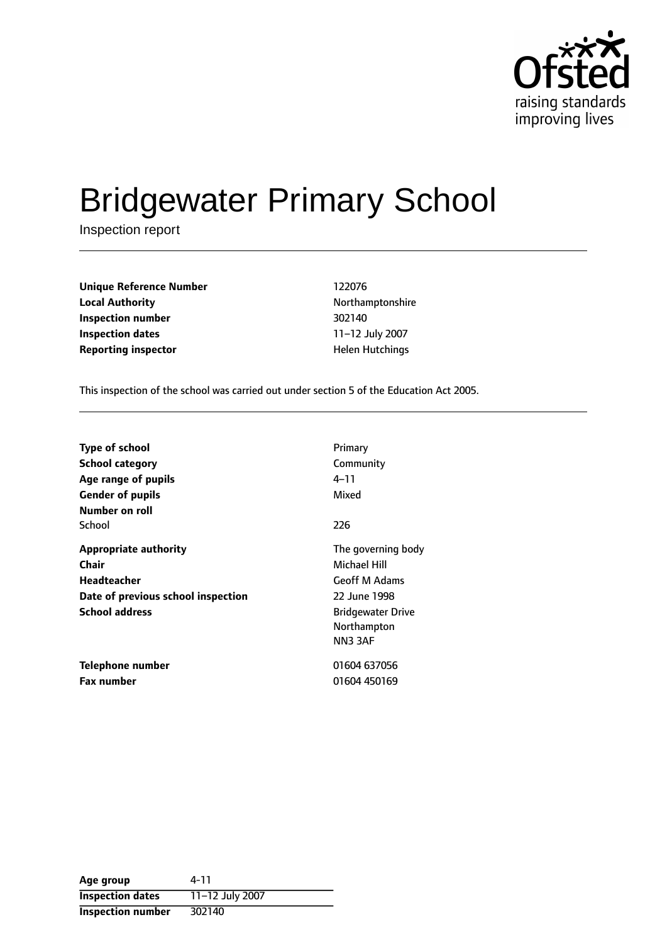

# Bridgewater Primary School

Inspection report

**Unique Reference Number** 122076 **Local Authority Northamptonshire Inspection number** 302140 **Inspection dates** 11-12 July 2007 **Reporting inspector All and Separation Controls All and Hutchings** 

This inspection of the school was carried out under section 5 of the Education Act 2005.

| <b>Type of school</b><br>School category<br>Age range of pupils<br><b>Gender of pupils</b><br>Number on roll        | Primary<br>Community<br>4–11<br>Mixed                                                                                           |
|---------------------------------------------------------------------------------------------------------------------|---------------------------------------------------------------------------------------------------------------------------------|
| School                                                                                                              | 226                                                                                                                             |
| <b>Appropriate authority</b><br>Chair<br>Headteacher<br>Date of previous school inspection<br><b>School address</b> | The governing body<br>Michael Hill<br><b>Geoff M Adams</b><br>22 June 1998<br><b>Bridgewater Drive</b><br>Northampton<br>NN33AF |
| Telephone number<br><b>Fax number</b>                                                                               | 01604 637056<br>01604 450169                                                                                                    |

| Age group                | 4-11            |
|--------------------------|-----------------|
| <b>Inspection dates</b>  | 11-12 July 2007 |
| <b>Inspection number</b> | 302140          |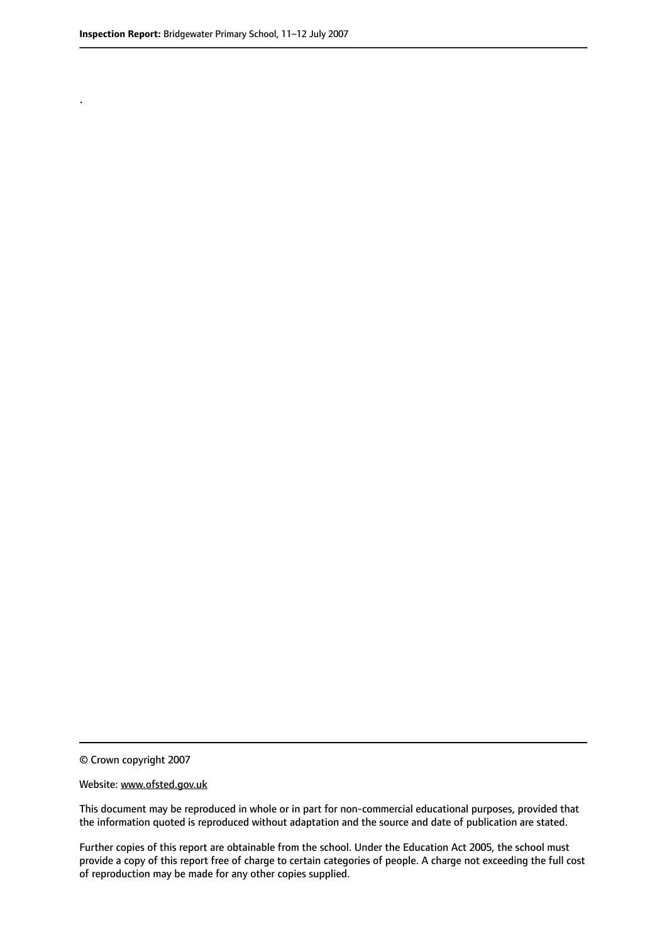.

© Crown copyright 2007

#### Website: www.ofsted.gov.uk

This document may be reproduced in whole or in part for non-commercial educational purposes, provided that the information quoted is reproduced without adaptation and the source and date of publication are stated.

Further copies of this report are obtainable from the school. Under the Education Act 2005, the school must provide a copy of this report free of charge to certain categories of people. A charge not exceeding the full cost of reproduction may be made for any other copies supplied.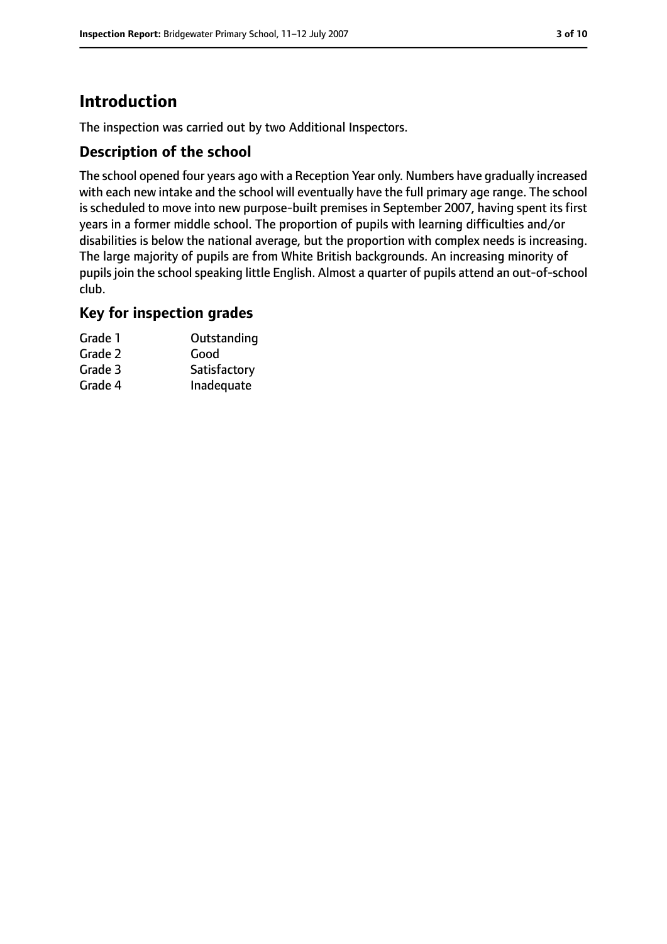## **Introduction**

The inspection was carried out by two Additional Inspectors.

## **Description of the school**

The school opened four years ago with a Reception Year only. Numbers have gradually increased with each new intake and the school will eventually have the full primary age range. The school is scheduled to move into new purpose-built premises in September 2007, having spent its first years in a former middle school. The proportion of pupils with learning difficulties and/or disabilities is below the national average, but the proportion with complex needs is increasing. The large majority of pupils are from White British backgrounds. An increasing minority of pupils join the school speaking little English. Almost a quarter of pupils attend an out-of-school club.

#### **Key for inspection grades**

| Grade 1 | Outstanding  |
|---------|--------------|
| Grade 2 | Good         |
| Grade 3 | Satisfactory |
| Grade 4 | Inadequate   |
|         |              |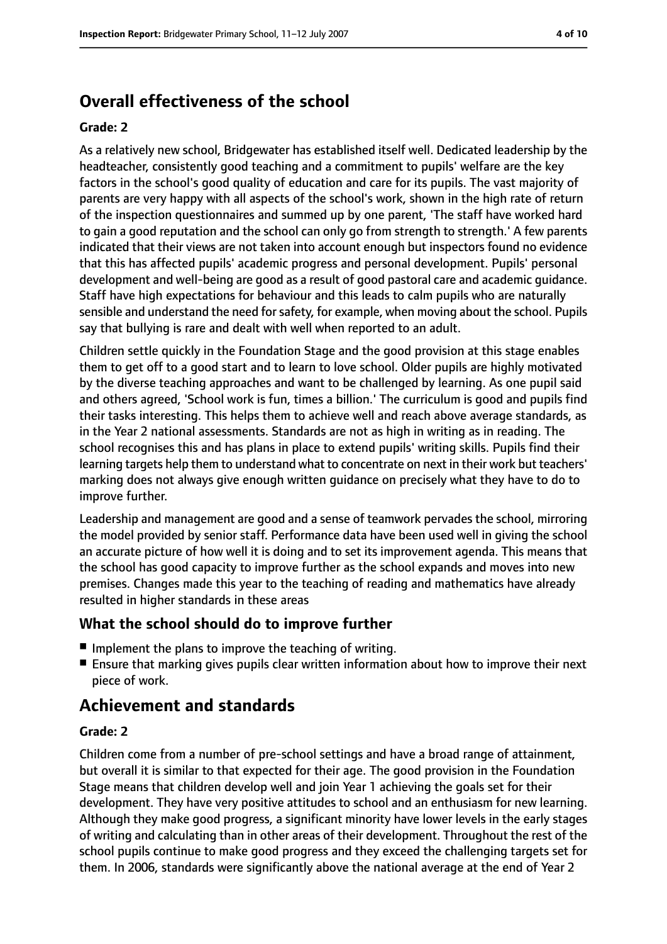# **Overall effectiveness of the school**

#### **Grade: 2**

As a relatively new school, Bridgewater has established itself well. Dedicated leadership by the headteacher, consistently good teaching and a commitment to pupils' welfare are the key factors in the school's good quality of education and care for its pupils. The vast majority of parents are very happy with all aspects of the school's work, shown in the high rate of return of the inspection questionnaires and summed up by one parent, 'The staff have worked hard to gain a good reputation and the school can only go from strength to strength.' A few parents indicated that their views are not taken into account enough but inspectors found no evidence that this has affected pupils' academic progress and personal development. Pupils' personal development and well-being are good as a result of good pastoral care and academic guidance. Staff have high expectations for behaviour and this leads to calm pupils who are naturally sensible and understand the need for safety, for example, when moving about the school. Pupils say that bullying is rare and dealt with well when reported to an adult.

Children settle quickly in the Foundation Stage and the good provision at this stage enables them to get off to a good start and to learn to love school. Older pupils are highly motivated by the diverse teaching approaches and want to be challenged by learning. As one pupil said and others agreed, 'School work is fun, times a billion.' The curriculum is good and pupils find their tasks interesting. This helps them to achieve well and reach above average standards, as in the Year 2 national assessments. Standards are not as high in writing as in reading. The school recognises this and has plans in place to extend pupils' writing skills. Pupils find their learning targets help them to understand what to concentrate on next in their work but teachers' marking does not always give enough written guidance on precisely what they have to do to improve further.

Leadership and management are good and a sense of teamwork pervades the school, mirroring the model provided by senior staff. Performance data have been used well in giving the school an accurate picture of how well it is doing and to set its improvement agenda. This means that the school has good capacity to improve further as the school expands and moves into new premises. Changes made this year to the teaching of reading and mathematics have already resulted in higher standards in these areas

#### **What the school should do to improve further**

- Implement the plans to improve the teaching of writing.
- Ensure that marking gives pupils clear written information about how to improve their next piece of work.

## **Achievement and standards**

#### **Grade: 2**

Children come from a number of pre-school settings and have a broad range of attainment, but overall it is similar to that expected for their age. The good provision in the Foundation Stage means that children develop well and join Year 1 achieving the goals set for their development. They have very positive attitudes to school and an enthusiasm for new learning. Although they make good progress, a significant minority have lower levels in the early stages of writing and calculating than in other areas of their development. Throughout the rest of the school pupils continue to make good progress and they exceed the challenging targets set for them. In 2006, standards were significantly above the national average at the end of Year 2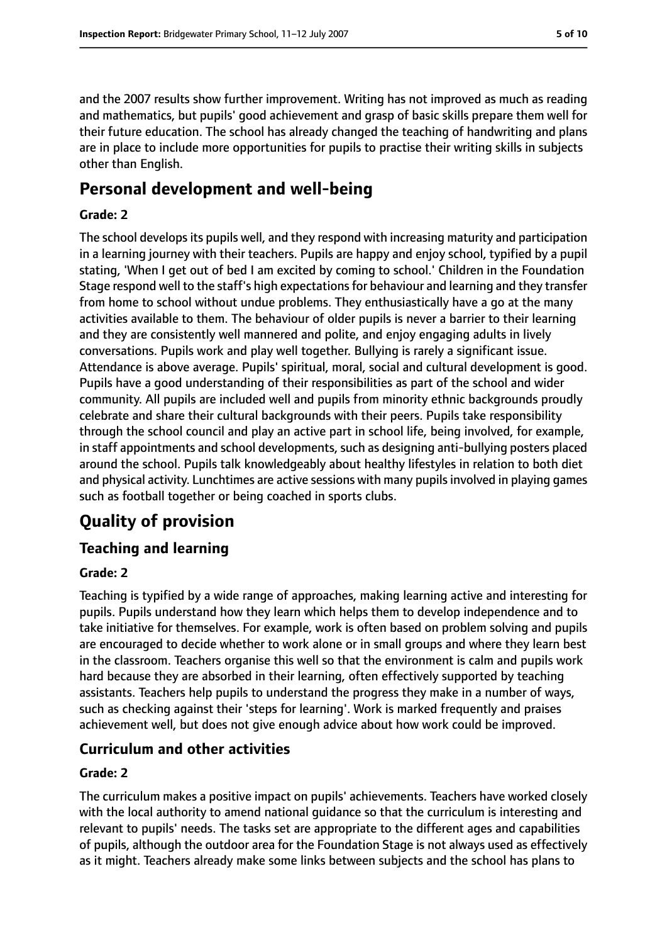and the 2007 results show further improvement. Writing has not improved as much as reading and mathematics, but pupils' good achievement and grasp of basic skills prepare them well for their future education. The school has already changed the teaching of handwriting and plans are in place to include more opportunities for pupils to practise their writing skills in subjects other than English.

## **Personal development and well-being**

#### **Grade: 2**

The school develops its pupils well, and they respond with increasing maturity and participation in a learning journey with their teachers. Pupils are happy and enjoy school, typified by a pupil stating, 'When I get out of bed I am excited by coming to school.' Children in the Foundation Stage respond well to the staff's high expectationsfor behaviour and learning and they transfer from home to school without undue problems. They enthusiastically have a go at the many activities available to them. The behaviour of older pupils is never a barrier to their learning and they are consistently well mannered and polite, and enjoy engaging adults in lively conversations. Pupils work and play well together. Bullying is rarely a significant issue. Attendance is above average. Pupils' spiritual, moral, social and cultural development is good. Pupils have a good understanding of their responsibilities as part of the school and wider community. All pupils are included well and pupils from minority ethnic backgrounds proudly celebrate and share their cultural backgrounds with their peers. Pupils take responsibility through the school council and play an active part in school life, being involved, for example, in staff appointments and school developments, such as designing anti-bullying posters placed around the school. Pupils talk knowledgeably about healthy lifestyles in relation to both diet and physical activity. Lunchtimes are active sessions with many pupils involved in playing games such as football together or being coached in sports clubs.

# **Quality of provision**

## **Teaching and learning**

#### **Grade: 2**

Teaching is typified by a wide range of approaches, making learning active and interesting for pupils. Pupils understand how they learn which helps them to develop independence and to take initiative for themselves. For example, work is often based on problem solving and pupils are encouraged to decide whether to work alone or in small groups and where they learn best in the classroom. Teachers organise this well so that the environment is calm and pupils work hard because they are absorbed in their learning, often effectively supported by teaching assistants. Teachers help pupils to understand the progress they make in a number of ways, such as checking against their 'steps for learning'. Work is marked frequently and praises achievement well, but does not give enough advice about how work could be improved.

#### **Curriculum and other activities**

#### **Grade: 2**

The curriculum makes a positive impact on pupils' achievements. Teachers have worked closely with the local authority to amend national guidance so that the curriculum is interesting and relevant to pupils' needs. The tasks set are appropriate to the different ages and capabilities of pupils, although the outdoor area for the Foundation Stage is not always used as effectively as it might. Teachers already make some links between subjects and the school has plans to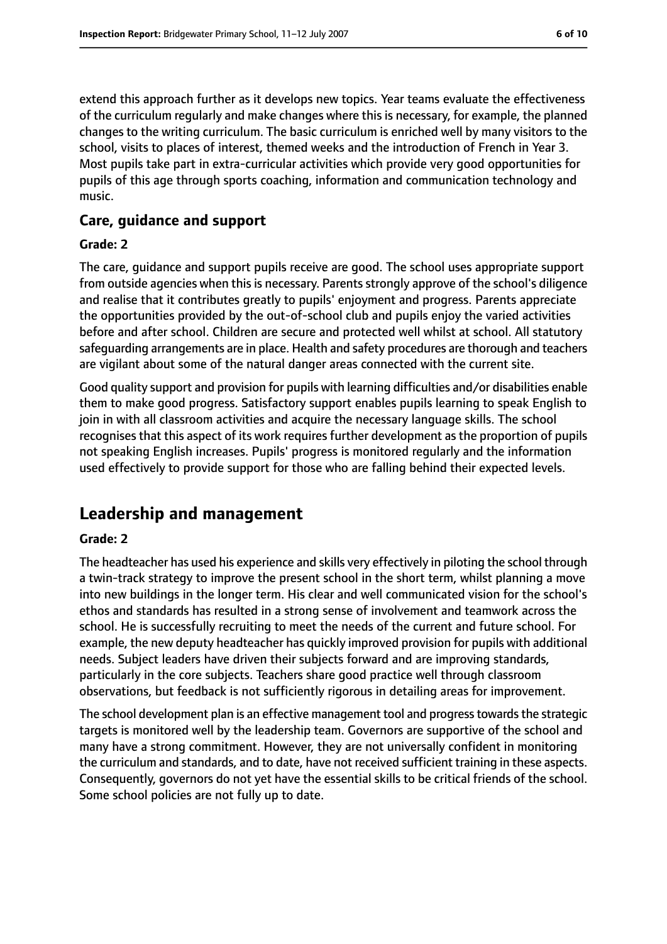extend this approach further as it develops new topics. Year teams evaluate the effectiveness of the curriculum regularly and make changes where this is necessary, for example, the planned changes to the writing curriculum. The basic curriculum is enriched well by many visitors to the school, visits to places of interest, themed weeks and the introduction of French in Year 3. Most pupils take part in extra-curricular activities which provide very good opportunities for pupils of this age through sports coaching, information and communication technology and music.

#### **Care, guidance and support**

#### **Grade: 2**

The care, guidance and support pupils receive are good. The school uses appropriate support from outside agencies when this is necessary. Parents strongly approve of the school's diligence and realise that it contributes greatly to pupils' enjoyment and progress. Parents appreciate the opportunities provided by the out-of-school club and pupils enjoy the varied activities before and after school. Children are secure and protected well whilst at school. All statutory safeguarding arrangements are in place. Health and safety procedures are thorough and teachers are vigilant about some of the natural danger areas connected with the current site.

Good quality support and provision for pupils with learning difficulties and/or disabilities enable them to make good progress. Satisfactory support enables pupils learning to speak English to join in with all classroom activities and acquire the necessary language skills. The school recognises that this aspect of its work requires further development as the proportion of pupils not speaking English increases. Pupils' progress is monitored regularly and the information used effectively to provide support for those who are falling behind their expected levels.

## **Leadership and management**

#### **Grade: 2**

The headteacher has used his experience and skills very effectively in piloting the school through a twin-track strategy to improve the present school in the short term, whilst planning a move into new buildings in the longer term. His clear and well communicated vision for the school's ethos and standards has resulted in a strong sense of involvement and teamwork across the school. He is successfully recruiting to meet the needs of the current and future school. For example, the new deputy headteacher has quickly improved provision for pupils with additional needs. Subject leaders have driven their subjects forward and are improving standards, particularly in the core subjects. Teachers share good practice well through classroom observations, but feedback is not sufficiently rigorous in detailing areas for improvement.

The school development plan is an effective management tool and progress towards the strategic targets is monitored well by the leadership team. Governors are supportive of the school and many have a strong commitment. However, they are not universally confident in monitoring the curriculum and standards, and to date, have not received sufficient training in these aspects. Consequently, governors do not yet have the essential skills to be critical friends of the school. Some school policies are not fully up to date.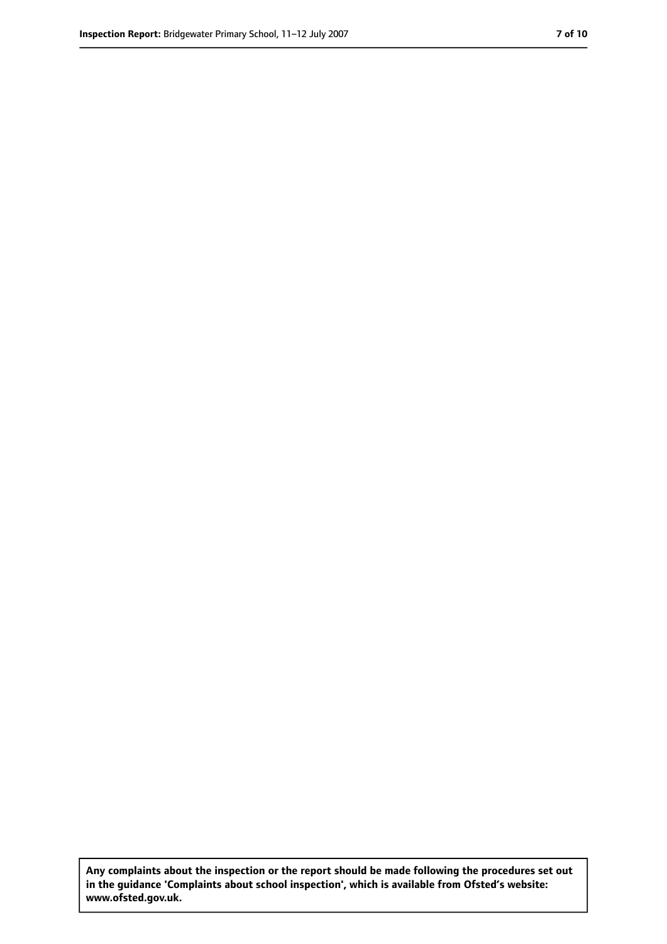**Any complaints about the inspection or the report should be made following the procedures set out in the guidance 'Complaints about school inspection', which is available from Ofsted's website: www.ofsted.gov.uk.**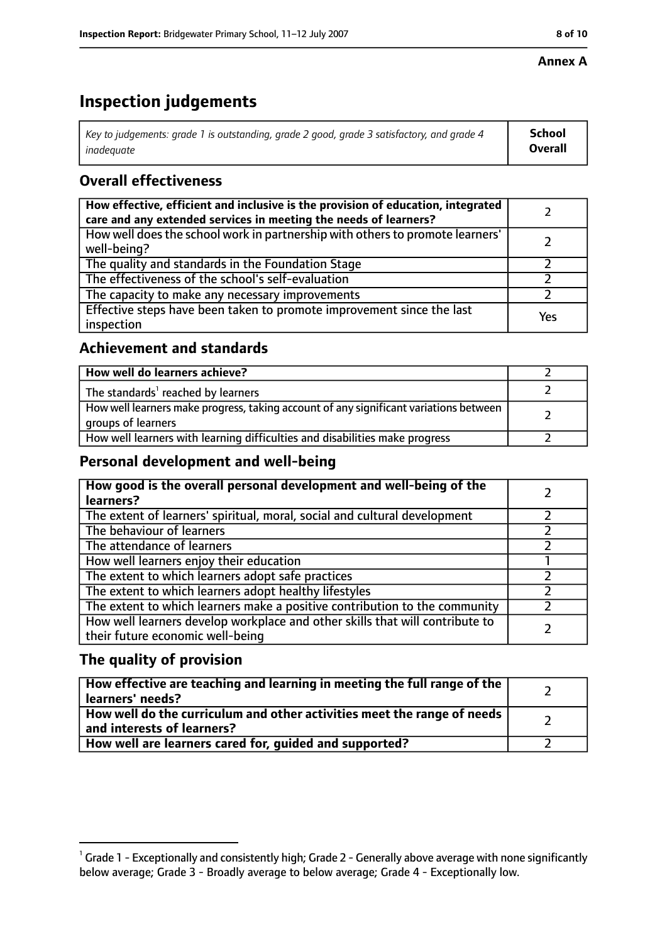#### **Annex A**

# **Inspection judgements**

| Key to judgements: grade 1 is outstanding, grade 2 good, grade 3 satisfactory, and grade 4 $\,$ | <b>School</b>  |
|-------------------------------------------------------------------------------------------------|----------------|
| inadequate                                                                                      | <b>Overall</b> |

## **Overall effectiveness**

| How effective, efficient and inclusive is the provision of education, integrated<br>care and any extended services in meeting the needs of learners? |     |
|------------------------------------------------------------------------------------------------------------------------------------------------------|-----|
| How well does the school work in partnership with others to promote learners'<br>well-being?                                                         |     |
| The quality and standards in the Foundation Stage                                                                                                    |     |
| The effectiveness of the school's self-evaluation                                                                                                    |     |
| The capacity to make any necessary improvements                                                                                                      |     |
| Effective steps have been taken to promote improvement since the last<br>inspection                                                                  | Yes |

## **Achievement and standards**

| How well do learners achieve?                                                                               |  |
|-------------------------------------------------------------------------------------------------------------|--|
| The standards <sup>1</sup> reached by learners                                                              |  |
| How well learners make progress, taking account of any significant variations between<br>groups of learners |  |
| How well learners with learning difficulties and disabilities make progress                                 |  |

## **Personal development and well-being**

| How good is the overall personal development and well-being of the<br>learners?                                  |  |
|------------------------------------------------------------------------------------------------------------------|--|
| The extent of learners' spiritual, moral, social and cultural development                                        |  |
| The behaviour of learners                                                                                        |  |
| The attendance of learners                                                                                       |  |
| How well learners enjoy their education                                                                          |  |
| The extent to which learners adopt safe practices                                                                |  |
| The extent to which learners adopt healthy lifestyles                                                            |  |
| The extent to which learners make a positive contribution to the community                                       |  |
| How well learners develop workplace and other skills that will contribute to<br>their future economic well-being |  |

## **The quality of provision**

| How effective are teaching and learning in meeting the full range of the<br>learners' needs?          |  |
|-------------------------------------------------------------------------------------------------------|--|
| How well do the curriculum and other activities meet the range of needs<br>and interests of learners? |  |
| How well are learners cared for, quided and supported?                                                |  |

 $^1$  Grade 1 - Exceptionally and consistently high; Grade 2 - Generally above average with none significantly below average; Grade 3 - Broadly average to below average; Grade 4 - Exceptionally low.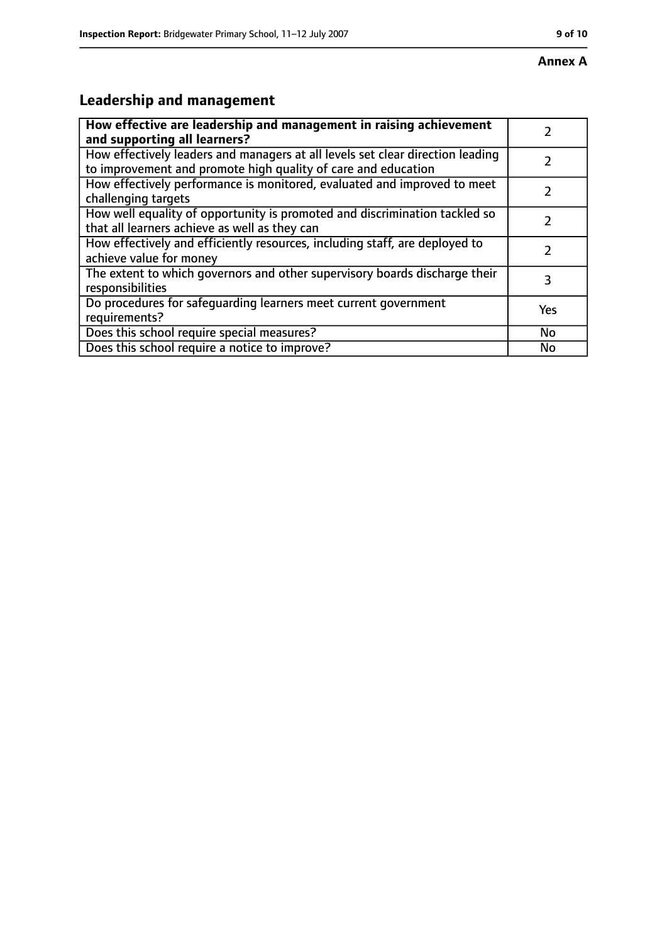# **Leadership and management**

| How effective are leadership and management in raising achievement<br>and supporting all learners?                                              |     |
|-------------------------------------------------------------------------------------------------------------------------------------------------|-----|
| How effectively leaders and managers at all levels set clear direction leading<br>to improvement and promote high quality of care and education |     |
| How effectively performance is monitored, evaluated and improved to meet<br>challenging targets                                                 |     |
| How well equality of opportunity is promoted and discrimination tackled so<br>that all learners achieve as well as they can                     |     |
| How effectively and efficiently resources, including staff, are deployed to<br>achieve value for money                                          | 2   |
| The extent to which governors and other supervisory boards discharge their<br>responsibilities                                                  | 3   |
| Do procedures for safequarding learners meet current government<br>requirements?                                                                | Yes |
| Does this school require special measures?                                                                                                      | No  |
| Does this school require a notice to improve?                                                                                                   | No  |